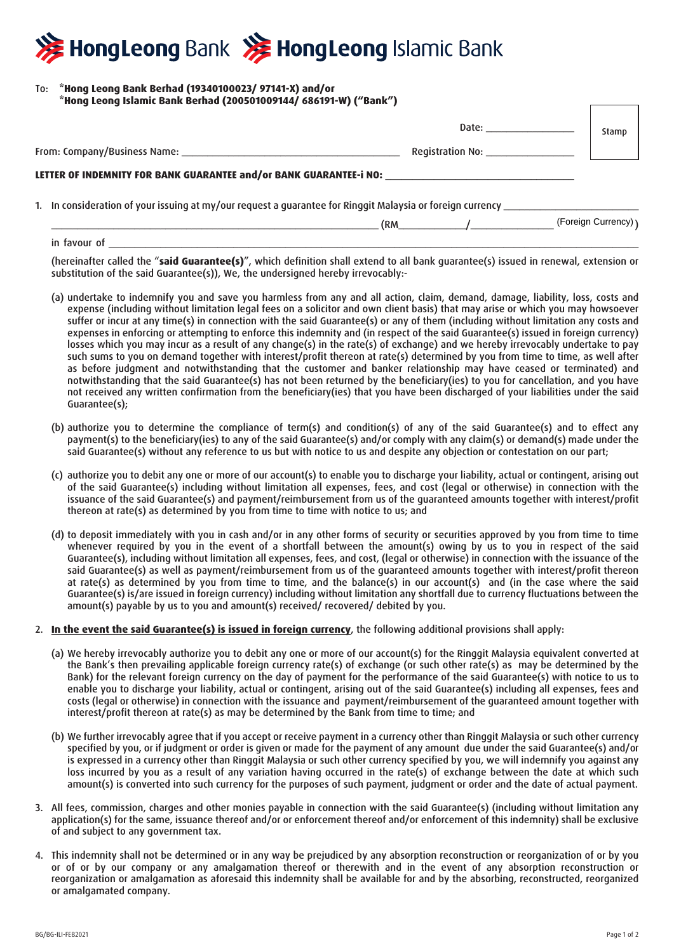# HongLeong Bank >>>>> HongLeong Islamic Bank

### To: **\*Hong Leong Bank Berhad (19340100023/ 97141-X) and/or \*Hong Leong Islamic Bank Berhad (200501009144/ 686191-W) ("Bank")**

|                                                                                   | Date: ______________<br>Registration No: <b>Registration</b> | Stamp                |
|-----------------------------------------------------------------------------------|--------------------------------------------------------------|----------------------|
| LETTER OF INDEMNITY FOR BANK GUARANTEE and/or BANK GUARANTEE-i NO: ______________ |                                                              |                      |
|                                                                                   |                                                              |                      |
|                                                                                   | $\mathsf{R} \mathsf{M}$ /                                    | (Foreign Currency) ) |

in favour of \_\_\_\_\_\_\_\_\_\_\_\_\_\_\_\_\_\_\_\_\_\_\_\_\_\_\_\_\_\_\_\_\_\_\_\_\_\_\_\_\_\_\_\_\_\_\_\_\_\_\_\_\_\_\_\_\_\_\_\_\_\_\_\_\_\_\_\_\_\_\_\_\_\_\_\_\_\_\_\_\_\_\_\_\_\_\_\_\_\_\_\_\_\_\_\_\_\_\_\_\_\_ (hereinafter called the "**said Guarantee(s)**", which definition shall extend to all bank guarantee(s) issued in renewal, extension or

substitution of the said Guarantee(s)), We, the undersigned hereby irrevocably:-

- (a) undertake to indemnify you and save you harmless from any and all action, claim, demand, damage, liability, loss, costs and expense (including without limitation legal fees on a solicitor and own client basis) that may arise or which you may howsoever suffer or incur at any time(s) in connection with the said Guarantee(s) or any of them (including without limitation any costs and expenses in enforcing or attempting to enforce this indemnity and (in respect of the said Guarantee(s) issued in foreign currency) losses which you may incur as a result of any change(s) in the rate(s) of exchange) and we hereby irrevocably undertake to pay such sums to you on demand together with interest/profit thereon at rate(s) determined by you from time to time, as well after as before judgment and notwithstanding that the customer and banker relationship may have ceased or terminated) and notwithstanding that the said Guarantee(s) has not been returned by the beneficiary(ies) to you for cancellation, and you have not received any written confirmation from the beneficiary(ies) that you have been discharged of your liabilities under the said Guarantee(s);
- (b) authorize you to determine the compliance of term(s) and condition(s) of any of the said Guarantee(s) and to effect any payment(s) to the beneficiary(ies) to any of the said Guarantee(s) and/or comply with any claim(s) or demand(s) made under the said Guarantee(s) without any reference to us but with notice to us and despite any objection or contestation on our part;
- (c) authorize you to debit any one or more of our account(s) to enable you to discharge your liability, actual or contingent, arising out of the said Guarantee(s) including without limitation all expenses, fees, and cost (legal or otherwise) in connection with the issuance of the said Guarantee(s) and payment/reimbursement from us of the guaranteed amounts together with interest/profit thereon at rate(s) as determined by you from time to time with notice to us; and
- (d) to deposit immediately with you in cash and/or in any other forms of security or securities approved by you from time to time whenever required by you in the event of a shortfall between the amount(s) owing by us to you in respect of the said Guarantee(s), including without limitation all expenses, fees, and cost, (legal or otherwise) in connection with the issuance of the said Guarantee(s) as well as payment/reimbursement from us of the guaranteed amounts together with interest/profit thereon at rate(s) as determined by you from time to time, and the balance(s) in our account(s) and (in the case where the said Guarantee(s) is/are issued in foreign currency) including without limitation any shortfall due to currency fluctuations between the amount(s) payable by us to you and amount(s) received/ recovered/ debited by you.

## 2. **In the event the said Guarantee(s) is issued in foreign currency**, the following additional provisions shall apply:

- (a) We hereby irrevocably authorize you to debit any one or more of our account(s) for the Ringgit Malaysia equivalent converted at the Bank's then prevailing applicable foreign currency rate(s) of exchange (or such other rate(s) as may be determined by the Bank) for the relevant foreign currency on the day of payment for the performance of the said Guarantee(s) with notice to us to enable you to discharge your liability, actual or contingent, arising out of the said Guarantee(s) including all expenses, fees and costs (legal or otherwise) in connection with the issuance and payment/reimbursement of the guaranteed amount together with interest/profit thereon at rate(s) as may be determined by the Bank from time to time; and
- (b) We further irrevocably agree that if you accept or receive payment in a currency other than Ringgit Malaysia or such other currency specified by you, or if judgment or order is given or made for the payment of any amount due under the said Guarantee(s) and/or is expressed in a currency other than Ringgit Malaysia or such other currency specified by you, we will indemnify you against any loss incurred by you as a result of any variation having occurred in the rate(s) of exchange between the date at which such amount(s) is converted into such currency for the purposes of such payment, judgment or order and the date of actual payment.
- 3. All fees, commission, charges and other monies payable in connection with the said Guarantee(s) (including without limitation any application(s) for the same, issuance thereof and/or or enforcement thereof and/or enforcement of this indemnity) shall be exclusive of and subject to any government tax.
- 4. This indemnity shall not be determined or in any way be prejudiced by any absorption reconstruction or reorganization of or by you or of or by our company or any amalgamation thereof or therewith and in the event of any absorption reconstruction or reorganization or amalgamation as aforesaid this indemnity shall be available for and by the absorbing, reconstructed, reorganized or amalgamated company.